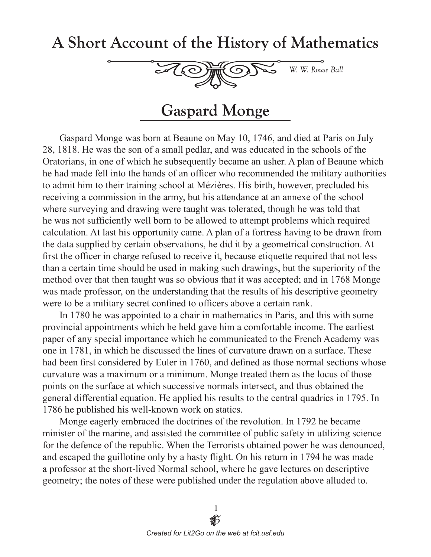## A Short Account of the History of Mathematics



## **Gaspard Monge**

Gaspard Monge was born at Beaune on May 10, 1746, and died at Paris on July 28, 1818. He was the son of a small pedlar, and was educated in the schools of the Oratorians, in one of which he subsequently became an usher. A plan of Beaune which he had made fell into the hands of an officer who recommended the military authorities to admit him to their training school at Mézières. His birth, however, precluded his receiving a commission in the army, but his attendance at an annexe of the school where surveying and drawing were taught was tolerated, though he was told that he was not sufficiently well born to be allowed to attempt problems which required calculation. At last his opportunity came. A plan of a fortress having to be drawn from the data supplied by certain observations, he did it by a geometrical construction. At first the officer in charge refused to receive it, because etiquette required that not less than a certain time should be used in making such drawings, but the superiority of the method over that then taught was so obvious that it was accepted; and in 1768 Monge was made professor, on the understanding that the results of his descriptive geometry were to be a military secret confined to officers above a certain rank.

In 1780 he was appointed to a chair in mathematics in Paris, and this with some provincial appointments which he held gave him a comfortable income. The earliest paper of any special importance which he communicated to the French Academy was one in 1781, in which he discussed the lines of curvature drawn on a surface. These had been first considered by Euler in 1760, and defined as those normal sections whose curvature was a maximum or a minimum. Monge treated them as the locus of those points on the surface at which successive normals intersect, and thus obtained the general differential equation. He applied his results to the central quadrics in 1795. In 1786 he published his well-known work on statics.

Monge eagerly embraced the doctrines of the revolution. In 1792 he became minister of the marine, and assisted the committee of public safety in utilizing science for the defence of the republic. When the Terrorists obtained power he was denounced, and escaped the guillotine only by a hasty flight. On his return in 1794 he was made a professor at the short-lived Normal school, where he gave lectures on descriptive geometry; the notes of these were published under the regulation above alluded to.